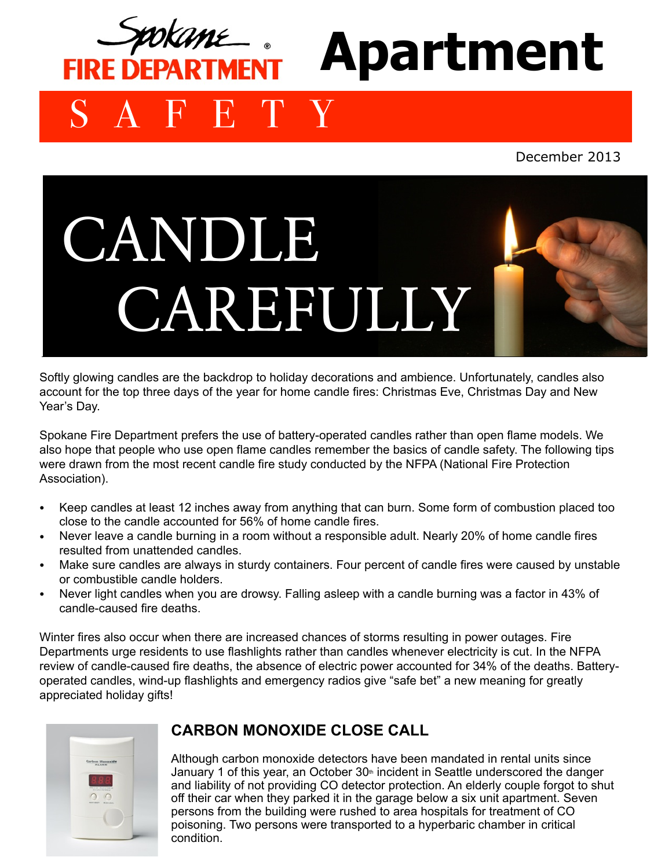

December 2013



Softly glowing candles are the backdrop to holiday decorations and ambience. Unfortunately, candles also account for the top three days of the year for home candle fires: Christmas Eve, Christmas Day and New Year's Day.

Spokane Fire Department prefers the use of battery-operated candles rather than open flame models. We also hope that people who use open flame candles remember the basics of candle safety. The following tips were drawn from the most recent candle fire study conducted by the NFPA (National Fire Protection Association).

- Keep candles at least 12 inches away from anything that can burn. Some form of combustion placed too close to the candle accounted for 56% of home candle fires.
- Never leave a candle burning in a room without a responsible adult. Nearly 20% of home candle fires resulted from unattended candles.
- Make sure candles are always in sturdy containers. Four percent of candle fires were caused by unstable or combustible candle holders.
- Never light candles when you are drowsy. Falling asleep with a candle burning was a factor in 43% of candle-caused fire deaths.

Winter fires also occur when there are increased chances of storms resulting in power outages. Fire Departments urge residents to use flashlights rather than candles whenever electricity is cut. In the NFPA review of candle-caused fire deaths, the absence of electric power accounted for 34% of the deaths. Batteryoperated candles, wind-up flashlights and emergency radios give "safe bet" a new meaning for greatly appreciated holiday gifts!



## **CARBON MONOXIDE CLOSE CALL**

Although carbon monoxide detectors have been mandated in rental units since January 1 of this year, an October  $30<sup>th</sup>$  incident in Seattle underscored the danger and liability of not providing CO detector protection. An elderly couple forgot to shut off their car when they parked it in the garage below a six unit apartment. Seven persons from the building were rushed to area hospitals for treatment of CO poisoning. Two persons were transported to a hyperbaric chamber in critical condition.